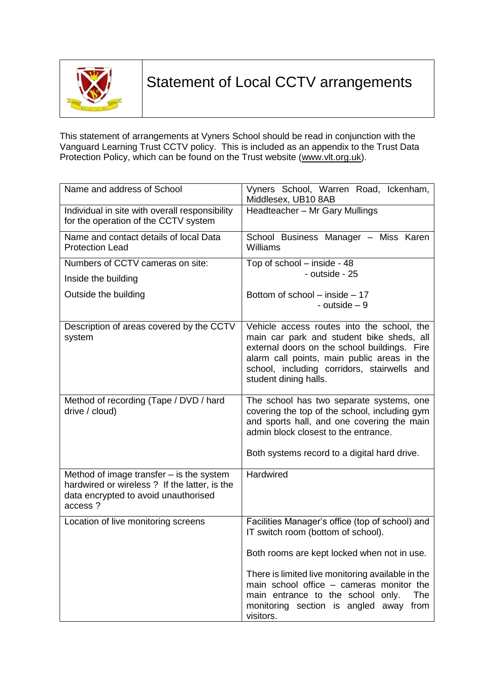

This statement of arrangements at Vyners School should be read in conjunction with the Vanguard Learning Trust CCTV policy. This is included as an appendix to the Trust Data Protection Policy, which can be found on the Trust website [\(www.vlt.org.uk\)](http://www.vlt.org.uk/).

| Name and address of School                                                                                                                     | Vyners School, Warren Road, Ickenham,<br>Middlesex, UB10 8AB                                                                                                                                                                                                   |
|------------------------------------------------------------------------------------------------------------------------------------------------|----------------------------------------------------------------------------------------------------------------------------------------------------------------------------------------------------------------------------------------------------------------|
| Individual in site with overall responsibility<br>for the operation of the CCTV system                                                         | Headteacher - Mr Gary Mullings                                                                                                                                                                                                                                 |
| Name and contact details of local Data<br><b>Protection Lead</b>                                                                               | School Business Manager - Miss Karen<br>Williams                                                                                                                                                                                                               |
| Numbers of CCTV cameras on site:                                                                                                               | Top of school - inside - 48                                                                                                                                                                                                                                    |
| Inside the building                                                                                                                            | - outside - 25                                                                                                                                                                                                                                                 |
| Outside the building                                                                                                                           | Bottom of school – inside – 17<br>- outside $-9$                                                                                                                                                                                                               |
| Description of areas covered by the CCTV<br>system                                                                                             | Vehicle access routes into the school, the<br>main car park and student bike sheds, all<br>external doors on the school buildings. Fire<br>alarm call points, main public areas in the<br>school, including corridors, stairwells and<br>student dining halls. |
| Method of recording (Tape / DVD / hard<br>drive / cloud)                                                                                       | The school has two separate systems, one<br>covering the top of the school, including gym<br>and sports hall, and one covering the main<br>admin block closest to the entrance.<br>Both systems record to a digital hard drive.                                |
| Method of image transfer $-$ is the system<br>hardwired or wireless ? If the latter, is the<br>data encrypted to avoid unauthorised<br>access? | <b>Hardwired</b>                                                                                                                                                                                                                                               |
| Location of live monitoring screens                                                                                                            | Facilities Manager's office (top of school) and<br>IT switch room (bottom of school).                                                                                                                                                                          |
|                                                                                                                                                | Both rooms are kept locked when not in use.                                                                                                                                                                                                                    |
|                                                                                                                                                | There is limited live monitoring available in the<br>main school office - cameras monitor the<br>main entrance to the school only.<br>The<br>monitoring section is angled away<br>from<br>visitors.                                                            |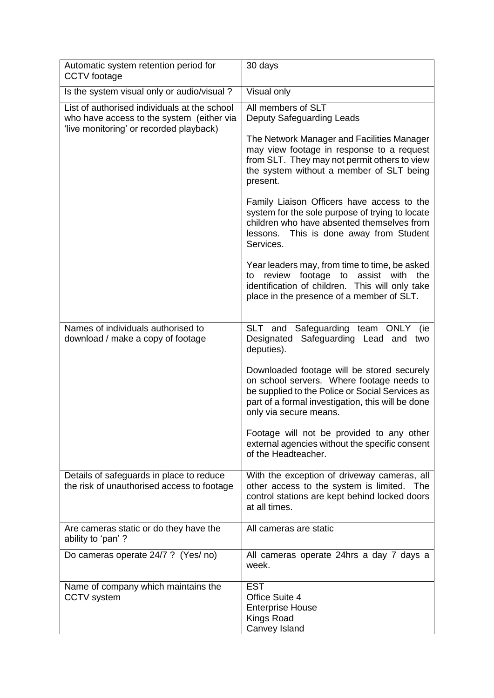| Automatic system retention period for<br>CCTV footage                                                                                | 30 days                                                                                                                                                                                                                   |
|--------------------------------------------------------------------------------------------------------------------------------------|---------------------------------------------------------------------------------------------------------------------------------------------------------------------------------------------------------------------------|
| Is the system visual only or audio/visual?                                                                                           | Visual only                                                                                                                                                                                                               |
| List of authorised individuals at the school<br>who have access to the system (either via<br>'live monitoring' or recorded playback) | All members of SLT<br>Deputy Safeguarding Leads<br>The Network Manager and Facilities Manager<br>may view footage in response to a request<br>from SLT. They may not permit others to view                                |
|                                                                                                                                      | the system without a member of SLT being<br>present.                                                                                                                                                                      |
|                                                                                                                                      | Family Liaison Officers have access to the<br>system for the sole purpose of trying to locate<br>children who have absented themselves from<br>lessons.<br>This is done away from Student<br>Services.                    |
|                                                                                                                                      | Year leaders may, from time to time, be asked<br>review footage to assist with<br>the<br>to<br>identification of children. This will only take<br>place in the presence of a member of SLT.                               |
| Names of individuals authorised to<br>download / make a copy of footage                                                              | Safeguarding<br>team ONLY<br>SLT and<br>(ie<br>Designated Safeguarding Lead and two<br>deputies).                                                                                                                         |
|                                                                                                                                      | Downloaded footage will be stored securely<br>on school servers. Where footage needs to<br>be supplied to the Police or Social Services as<br>part of a formal investigation, this will be done<br>only via secure means. |
|                                                                                                                                      | Footage will not be provided to any other<br>external agencies without the specific consent<br>of the Headteacher.                                                                                                        |
| Details of safeguards in place to reduce<br>the risk of unauthorised access to footage                                               | With the exception of driveway cameras, all<br>other access to the system is limited. The<br>control stations are kept behind locked doors<br>at all times.                                                               |
| Are cameras static or do they have the<br>ability to 'pan' ?                                                                         | All cameras are static                                                                                                                                                                                                    |
| Do cameras operate 24/7 ? (Yes/ no)                                                                                                  | All cameras operate 24hrs a day 7 days a<br>week.                                                                                                                                                                         |
| Name of company which maintains the<br>CCTV system                                                                                   | <b>EST</b><br>Office Suite 4<br><b>Enterprise House</b><br>Kings Road<br>Canvey Island                                                                                                                                    |